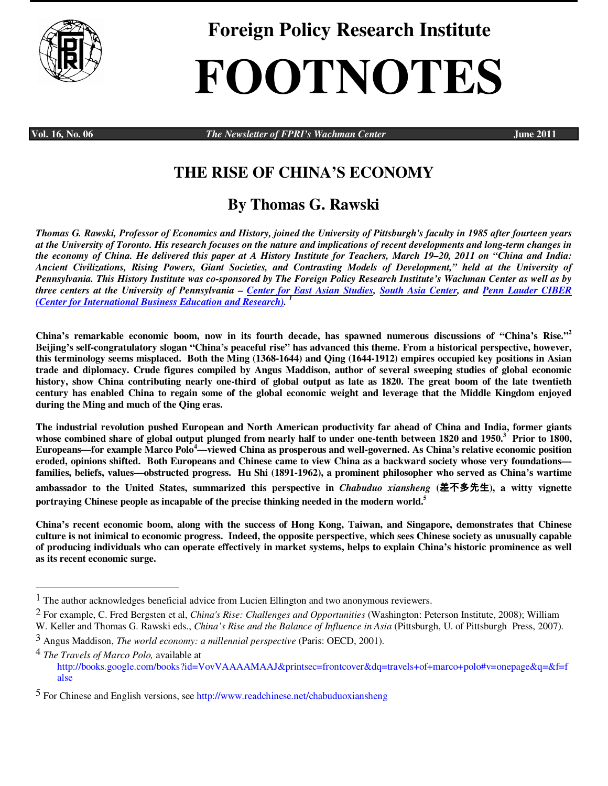

**Foreign Policy Research Institute** 

# **FOOTNOTES**

 $\overline{a}$ 

**Vol. 16, No. 06** *The Newsletter of FPRI's Wachman Center June 2011* 

## **THE RISE OF CHINA'S ECONOMY**

## **By Thomas G. Rawski**

*Thomas G. Rawski, Professor of Economics and History, joined the University of Pittsburgh's faculty in 1985 after fourteen years at the University of Toronto. His research focuses on the nature and implications of recent developments and long-term changes in the economy of China. He delivered this paper at A History Institute for Teachers, March 19–20, 2011 on "China and India: Ancient Civilizations, Rising Powers, Giant Societies, and Contrasting Models of Development," held at the University of Pennsylvania. This History Institute was co-sponsored by The Foreign Policy Research Institute's Wachman Center as well as by three centers at the University of Pennsylvania – Center for East Asian Studies, South Asia Center, and Penn Lauder CIBER (Center for International Business Education and Research). 1*

**China's remarkable economic boom, now in its fourth decade, has spawned numerous discussions of "China's Rise."<sup>2</sup> Beijing's self-congratulatory slogan "China's peaceful rise" has advanced this theme. From a historical perspective, however, this terminology seems misplaced. Both the Ming (1368-1644) and Qing (1644-1912) empires occupied key positions in Asian trade and diplomacy. Crude figures compiled by Angus Maddison, author of several sweeping studies of global economic history, show China contributing nearly one-third of global output as late as 1820. The great boom of the late twentieth century has enabled China to regain some of the global economic weight and leverage that the Middle Kingdom enjoyed during the Ming and much of the Qing eras.** 

**The industrial revolution pushed European and North American productivity far ahead of China and India, former giants whose combined share of global output plunged from nearly half to under one-tenth between 1820 and 1950.<sup>3</sup> Prior to 1800, Europeans—for example Marco Polo<sup>4</sup>—viewed China as prosperous and well-governed. As China's relative economic position eroded, opinions shifted. Both Europeans and Chinese came to view China as a backward society whose very foundations families, beliefs, values—obstructed progress. Hu Shi (1891-1962), a prominent philosopher who served as China's wartime ambassador to the United States, summarized this perspective in** *Chabuduo xiansheng* **(**差不多先生**), a witty vignette portraying Chinese people as incapable of the precise thinking needed in the modern world.<sup>5</sup>**

**China's recent economic boom, along with the success of Hong Kong, Taiwan, and Singapore, demonstrates that Chinese culture is not inimical to economic progress. Indeed, the opposite perspective, which sees Chinese society as unusually capable of producing individuals who can operate effectively in market systems, helps to explain China's historic prominence as well as its recent economic surge.** 

<sup>1</sup> The author acknowledges beneficial advice from Lucien Ellington and two anonymous reviewers.

<sup>2</sup> For example, C. Fred Bergsten et al, *China's Rise: Challenges and Opportunities* (Washington: Peterson Institute, 2008); William W. Keller and Thomas G. Rawski eds., *China's Rise and the Balance of Influence in Asia* (Pittsburgh, U. of Pittsburgh Press, 2007).

<sup>3</sup> Angus Maddison, *The world economy: a millennial perspective* (Paris: OECD, 2001).

<sup>4</sup> *The Travels of Marco Polo,* available at http://books.google.com/books?id=VovVAAAAMAAJ&printsec=frontcover&dq=travels+of+marco+polo#v=onepage&q=&f=f alse

<sup>5</sup> For Chinese and English versions, see http://www.readchinese.net/chabuduoxiansheng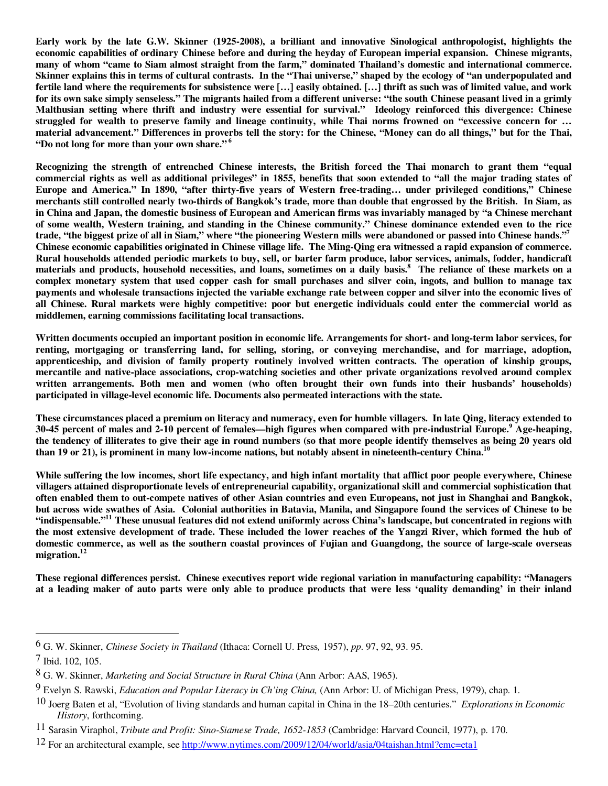**Early work by the late G.W. Skinner (1925-2008), a brilliant and innovative Sinological anthropologist, highlights the economic capabilities of ordinary Chinese before and during the heyday of European imperial expansion. Chinese migrants, many of whom "came to Siam almost straight from the farm," dominated Thailand's domestic and international commerce. Skinner explains this in terms of cultural contrasts. In the "Thai universe," shaped by the ecology of "an underpopulated and fertile land where the requirements for subsistence were […] easily obtained. […] thrift as such was of limited value, and work for its own sake simply senseless." The migrants hailed from a different universe: "the south Chinese peasant lived in a grimly Malthusian setting where thrift and industry were essential for survival." Ideology reinforced this divergence: Chinese struggled for wealth to preserve family and lineage continuity, while Thai norms frowned on "excessive concern for … material advancement." Differences in proverbs tell the story: for the Chinese, "Money can do all things," but for the Thai, "Do not long for more than your own share."<sup>6</sup>**

**Recognizing the strength of entrenched Chinese interests, the British forced the Thai monarch to grant them "equal commercial rights as well as additional privileges" in 1855, benefits that soon extended to "all the major trading states of Europe and America." In 1890, "after thirty-five years of Western free-trading… under privileged conditions," Chinese merchants still controlled nearly two-thirds of Bangkok's trade, more than double that engrossed by the British. In Siam, as in China and Japan, the domestic business of European and American firms was invariably managed by "a Chinese merchant of some wealth, Western training, and standing in the Chinese community." Chinese dominance extended even to the rice trade, "the biggest prize of all in Siam," where "the pioneering Western mills were abandoned or passed into Chinese hands."<sup>7</sup> Chinese economic capabilities originated in Chinese village life. The Ming-Qing era witnessed a rapid expansion of commerce. Rural households attended periodic markets to buy, sell, or barter farm produce, labor services, animals, fodder, handicraft materials and products, household necessities, and loans, sometimes on a daily basis.<sup>8</sup> The reliance of these markets on a complex monetary system that used copper cash for small purchases and silver coin, ingots, and bullion to manage tax payments and wholesale transactions injected the variable exchange rate between copper and silver into the economic lives of all Chinese. Rural markets were highly competitive: poor but energetic individuals could enter the commercial world as middlemen, earning commissions facilitating local transactions.** 

**Written documents occupied an important position in economic life. Arrangements for short- and long-term labor services, for renting, mortgaging or transferring land, for selling, storing, or conveying merchandise, and for marriage, adoption, apprenticeship, and division of family property routinely involved written contracts. The operation of kinship groups, mercantile and native-place associations, crop-watching societies and other private organizations revolved around complex written arrangements. Both men and women (who often brought their own funds into their husbands' households) participated in village-level economic life. Documents also permeated interactions with the state.** 

**These circumstances placed a premium on literacy and numeracy, even for humble villagers. In late Qing, literacy extended to 30-45 percent of males and 2-10 percent of females—high figures when compared with pre-industrial Europe.<sup>9</sup> Age-heaping, the tendency of illiterates to give their age in round numbers (so that more people identify themselves as being 20 years old than 19 or 21), is prominent in many low-income nations, but notably absent in nineteenth-century China.<sup>10</sup>**

**While suffering the low incomes, short life expectancy, and high infant mortality that afflict poor people everywhere, Chinese villagers attained disproportionate levels of entrepreneurial capability, organizational skill and commercial sophistication that often enabled them to out-compete natives of other Asian countries and even Europeans, not just in Shanghai and Bangkok, but across wide swathes of Asia. Colonial authorities in Batavia, Manila, and Singapore found the services of Chinese to be "indispensable."<sup>11</sup> These unusual features did not extend uniformly across China's landscape, but concentrated in regions with the most extensive development of trade. These included the lower reaches of the Yangzi River, which formed the hub of domestic commerce, as well as the southern coastal provinces of Fujian and Guangdong, the source of large-scale overseas migration.<sup>12</sup>** 

**These regional differences persist. Chinese executives report wide regional variation in manufacturing capability: "Managers at a leading maker of auto parts were only able to produce products that were less 'quality demanding' in their inland** 

-

<sup>6</sup> G. W. Skinner, *Chinese Society in Thailand* (Ithaca: Cornell U. Press*,* 1957), *pp*. 97, 92, 93. 95.

<sup>7</sup> Ibid. 102, 105.

<sup>8</sup> G. W. Skinner, *Marketing and Social Structure in Rural China* (Ann Arbor: AAS, 1965).

<sup>9</sup> Evelyn S. Rawski, *Education and Popular Literacy in Ch'ing China,* (Ann Arbor: U. of Michigan Press, 1979), chap. 1.

<sup>10</sup> Joerg Baten et al, "Evolution of living standards and human capital in China in the 18–20th centuries." *Explorations in Economic History*, forthcoming.

<sup>11</sup> Sarasin Viraphol, *Tribute and Profit: Sino-Siamese Trade, 1652-1853* (Cambridge: Harvard Council, 1977), p. 170.

<sup>12</sup> For an architectural example, see http://www.nytimes.com/2009/12/04/world/asia/04taishan.html?emc=eta1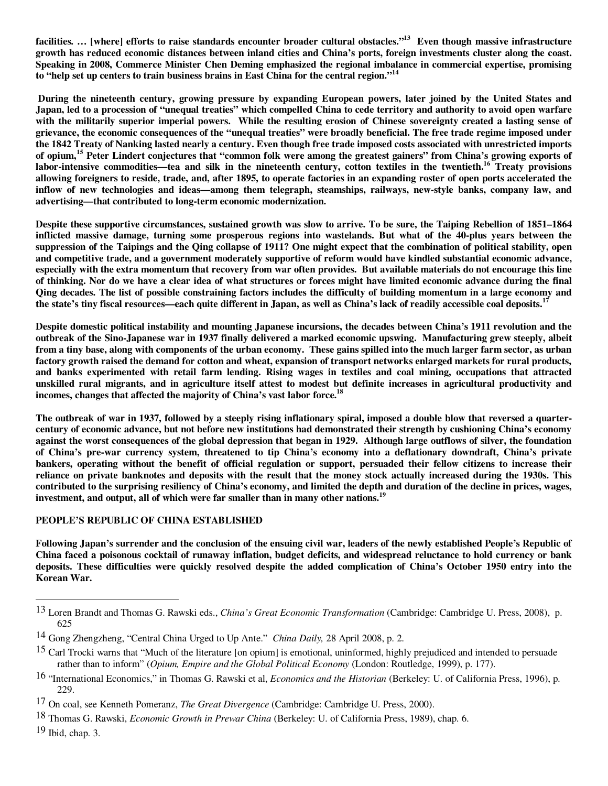**facilities. … [where] efforts to raise standards encounter broader cultural obstacles."<sup>13</sup> Even though massive infrastructure growth has reduced economic distances between inland cities and China's ports, foreign investments cluster along the coast. Speaking in 2008, Commerce Minister Chen Deming emphasized the regional imbalance in commercial expertise, promising to "help set up centers to train business brains in East China for the central region."<sup>14</sup>** 

 **During the nineteenth century, growing pressure by expanding European powers, later joined by the United States and Japan, led to a procession of "unequal treaties" which compelled China to cede territory and authority to avoid open warfare with the militarily superior imperial powers. While the resulting erosion of Chinese sovereignty created a lasting sense of grievance, the economic consequences of the "unequal treaties" were broadly beneficial. The free trade regime imposed under the 1842 Treaty of Nanking lasted nearly a century. Even though free trade imposed costs associated with unrestricted imports of opium,<sup>15</sup> Peter Lindert conjectures that "common folk were among the greatest gainers" from China's growing exports of labor-intensive commodities—tea and silk in the nineteenth century, cotton textiles in the twentieth.<sup>16</sup> Treaty provisions allowing foreigners to reside, trade, and, after 1895, to operate factories in an expanding roster of open ports accelerated the inflow of new technologies and ideas—among them telegraph, steamships, railways, new-style banks, company law, and advertising—that contributed to long-term economic modernization.** 

**Despite these supportive circumstances, sustained growth was slow to arrive. To be sure, the Taiping Rebellion of 1851–1864 inflicted massive damage, turning some prosperous regions into wastelands. But what of the 40-plus years between the suppression of the Taipings and the Qing collapse of 1911? One might expect that the combination of political stability, open and competitive trade, and a government moderately supportive of reform would have kindled substantial economic advance, especially with the extra momentum that recovery from war often provides. But available materials do not encourage this line of thinking. Nor do we have a clear idea of what structures or forces might have limited economic advance during the final Qing decades. The list of possible constraining factors includes the difficulty of building momentum in a large economy and the state's tiny fiscal resources—each quite different in Japan, as well as China's lack of readily accessible coal deposits.<sup>17</sup>**

**Despite domestic political instability and mounting Japanese incursions, the decades between China's 1911 revolution and the outbreak of the Sino-Japanese war in 1937 finally delivered a marked economic upswing. Manufacturing grew steeply, albeit from a tiny base, along with components of the urban economy. These gains spilled into the much larger farm sector, as urban factory growth raised the demand for cotton and wheat, expansion of transport networks enlarged markets for rural products, and banks experimented with retail farm lending. Rising wages in textiles and coal mining, occupations that attracted unskilled rural migrants, and in agriculture itself attest to modest but definite increases in agricultural productivity and incomes, changes that affected the majority of China's vast labor force.<sup>18</sup>** 

**The outbreak of war in 1937, followed by a steeply rising inflationary spiral, imposed a double blow that reversed a quartercentury of economic advance, but not before new institutions had demonstrated their strength by cushioning China's economy against the worst consequences of the global depression that began in 1929. Although large outflows of silver, the foundation of China's pre-war currency system, threatened to tip China's economy into a deflationary downdraft, China's private bankers, operating without the benefit of official regulation or support, persuaded their fellow citizens to increase their reliance on private banknotes and deposits with the result that the money stock actually increased during the 1930s. This contributed to the surprising resiliency of China's economy, and limited the depth and duration of the decline in prices, wages, investment, and output, all of which were far smaller than in many other nations.<sup>19</sup>**

### **PEOPLE'S REPUBLIC OF CHINA ESTABLISHED**

**Following Japan's surrender and the conclusion of the ensuing civil war, leaders of the newly established People's Republic of China faced a poisonous cocktail of runaway inflation, budget deficits, and widespread reluctance to hold currency or bank deposits. These difficulties were quickly resolved despite the added complication of China's October 1950 entry into the Korean War.** 

 $\overline{a}$ 

<sup>13</sup> Loren Brandt and Thomas G. Rawski eds., *China's Great Economic Transformation* (Cambridge: Cambridge U. Press, 2008), p. 625

<sup>14</sup> Gong Zhengzheng, "Central China Urged to Up Ante." *China Daily,* 28 April 2008, p. 2.

 $15$  Carl Trocki warns that "Much of the literature [on opium] is emotional, uninformed, highly prejudiced and intended to persuade rather than to inform" (*Opium, Empire and the Global Political Economy* (London: Routledge, 1999), p. 177).

<sup>16 &</sup>quot;International Economics," in Thomas G. Rawski et al, *Economics and the Historian* (Berkeley: U. of California Press, 1996), p. 229.

<sup>17</sup> On coal, see Kenneth Pomeranz, *The Great Divergence* (Cambridge: Cambridge U. Press, 2000).

<sup>18</sup> Thomas G. Rawski, *Economic Growth in Prewar China* (Berkeley: U. of California Press, 1989), chap. 6.

<sup>19</sup> Ibid, chap. 3.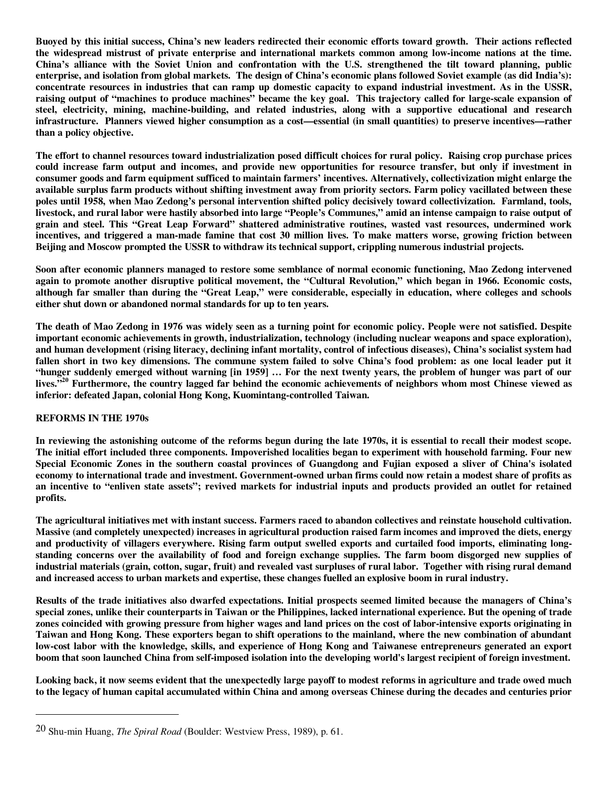**Buoyed by this initial success, China's new leaders redirected their economic efforts toward growth. Their actions reflected the widespread mistrust of private enterprise and international markets common among low-income nations at the time. China's alliance with the Soviet Union and confrontation with the U.S. strengthened the tilt toward planning, public enterprise, and isolation from global markets. The design of China's economic plans followed Soviet example (as did India's): concentrate resources in industries that can ramp up domestic capacity to expand industrial investment. As in the USSR, raising output of "machines to produce machines" became the key goal. This trajectory called for large-scale expansion of steel, electricity, mining, machine-building, and related industries, along with a supportive educational and research infrastructure. Planners viewed higher consumption as a cost—essential (in small quantities) to preserve incentives—rather than a policy objective.** 

**The effort to channel resources toward industrialization posed difficult choices for rural policy. Raising crop purchase prices could increase farm output and incomes, and provide new opportunities for resource transfer, but only if investment in consumer goods and farm equipment sufficed to maintain farmers' incentives. Alternatively, collectivization might enlarge the available surplus farm products without shifting investment away from priority sectors. Farm policy vacillated between these poles until 1958, when Mao Zedong's personal intervention shifted policy decisively toward collectivization. Farmland, tools, livestock, and rural labor were hastily absorbed into large "People's Communes," amid an intense campaign to raise output of grain and steel. This "Great Leap Forward" shattered administrative routines, wasted vast resources, undermined work incentives, and triggered a man-made famine that cost 30 million lives. To make matters worse, growing friction between Beijing and Moscow prompted the USSR to withdraw its technical support, crippling numerous industrial projects.** 

**Soon after economic planners managed to restore some semblance of normal economic functioning, Mao Zedong intervened again to promote another disruptive political movement, the "Cultural Revolution," which began in 1966. Economic costs, although far smaller than during the "Great Leap," were considerable, especially in education, where colleges and schools either shut down or abandoned normal standards for up to ten years.** 

**The death of Mao Zedong in 1976 was widely seen as a turning point for economic policy. People were not satisfied. Despite important economic achievements in growth, industrialization, technology (including nuclear weapons and space exploration), and human development (rising literacy, declining infant mortality, control of infectious diseases), China's socialist system had fallen short in two key dimensions. The commune system failed to solve China's food problem: as one local leader put it "hunger suddenly emerged without warning [in 1959] … For the next twenty years, the problem of hunger was part of our lives."<sup>20</sup> Furthermore, the country lagged far behind the economic achievements of neighbors whom most Chinese viewed as inferior: defeated Japan, colonial Hong Kong, Kuomintang-controlled Taiwan.** 

#### **REFORMS IN THE 1970s**

-

**In reviewing the astonishing outcome of the reforms begun during the late 1970s, it is essential to recall their modest scope. The initial effort included three components. Impoverished localities began to experiment with household farming. Four new Special Economic Zones in the southern coastal provinces of Guangdong and Fujian exposed a sliver of China's isolated economy to international trade and investment. Government-owned urban firms could now retain a modest share of profits as an incentive to "enliven state assets"; revived markets for industrial inputs and products provided an outlet for retained profits.** 

**The agricultural initiatives met with instant success. Farmers raced to abandon collectives and reinstate household cultivation. Massive (and completely unexpected) increases in agricultural production raised farm incomes and improved the diets, energy and productivity of villagers everywhere. Rising farm output swelled exports and curtailed food imports, eliminating longstanding concerns over the availability of food and foreign exchange supplies. The farm boom disgorged new supplies of industrial materials (grain, cotton, sugar, fruit) and revealed vast surpluses of rural labor. Together with rising rural demand and increased access to urban markets and expertise, these changes fuelled an explosive boom in rural industry.** 

**Results of the trade initiatives also dwarfed expectations. Initial prospects seemed limited because the managers of China's special zones, unlike their counterparts in Taiwan or the Philippines, lacked international experience. But the opening of trade zones coincided with growing pressure from higher wages and land prices on the cost of labor-intensive exports originating in Taiwan and Hong Kong. These exporters began to shift operations to the mainland, where the new combination of abundant low-cost labor with the knowledge, skills, and experience of Hong Kong and Taiwanese entrepreneurs generated an export boom that soon launched China from self-imposed isolation into the developing world's largest recipient of foreign investment.** 

**Looking back, it now seems evident that the unexpectedly large payoff to modest reforms in agriculture and trade owed much to the legacy of human capital accumulated within China and among overseas Chinese during the decades and centuries prior** 

<sup>20</sup> Shu-min Huang, *The Spiral Road* (Boulder: Westview Press, 1989), p. 61.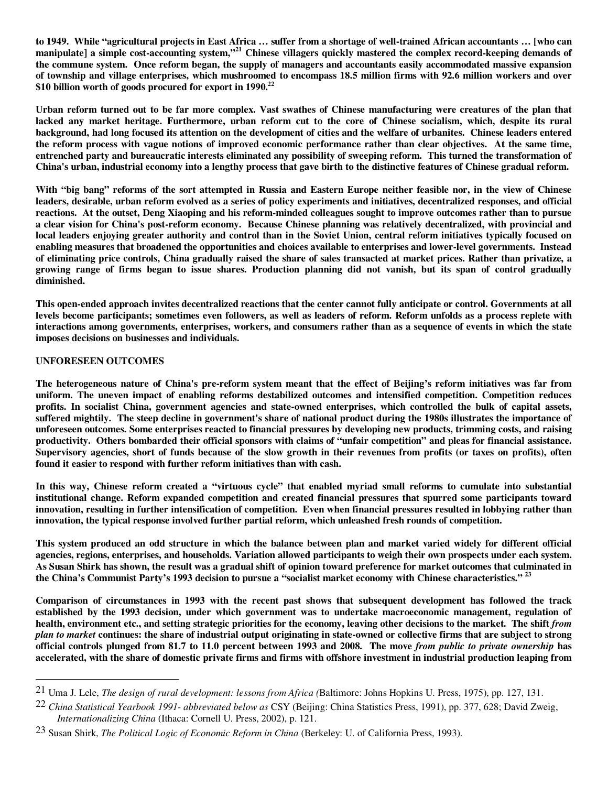**to 1949. While "agricultural projects in East Africa … suffer from a shortage of well-trained African accountants … [who can manipulate] a simple cost-accounting system,"<sup>21</sup> Chinese villagers quickly mastered the complex record-keeping demands of the commune system. Once reform began, the supply of managers and accountants easily accommodated massive expansion of township and village enterprises, which mushroomed to encompass 18.5 million firms with 92.6 million workers and over \$10 billion worth of goods procured for export in 1990.<sup>22</sup>**

**Urban reform turned out to be far more complex. Vast swathes of Chinese manufacturing were creatures of the plan that lacked any market heritage. Furthermore, urban reform cut to the core of Chinese socialism, which, despite its rural background, had long focused its attention on the development of cities and the welfare of urbanites. Chinese leaders entered the reform process with vague notions of improved economic performance rather than clear objectives. At the same time, entrenched party and bureaucratic interests eliminated any possibility of sweeping reform. This turned the transformation of China's urban, industrial economy into a lengthy process that gave birth to the distinctive features of Chinese gradual reform.** 

**With "big bang" reforms of the sort attempted in Russia and Eastern Europe neither feasible nor, in the view of Chinese leaders, desirable, urban reform evolved as a series of policy experiments and initiatives, decentralized responses, and official reactions. At the outset, Deng Xiaoping and his reform-minded colleagues sought to improve outcomes rather than to pursue a clear vision for China's post-reform economy. Because Chinese planning was relatively decentralized, with provincial and local leaders enjoying greater authority and control than in the Soviet Union, central reform initiatives typically focused on enabling measures that broadened the opportunities and choices available to enterprises and lower-level governments. Instead of eliminating price controls, China gradually raised the share of sales transacted at market prices. Rather than privatize, a growing range of firms began to issue shares. Production planning did not vanish, but its span of control gradually diminished.** 

**This open-ended approach invites decentralized reactions that the center cannot fully anticipate or control. Governments at all levels become participants; sometimes even followers, as well as leaders of reform. Reform unfolds as a process replete with interactions among governments, enterprises, workers, and consumers rather than as a sequence of events in which the state imposes decisions on businesses and individuals.** 

#### **UNFORESEEN OUTCOMES**

 $\overline{a}$ 

**The heterogeneous nature of China's pre-reform system meant that the effect of Beijing's reform initiatives was far from uniform. The uneven impact of enabling reforms destabilized outcomes and intensified competition. Competition reduces profits. In socialist China, government agencies and state-owned enterprises, which controlled the bulk of capital assets, suffered mightily. The steep decline in government's share of national product during the 1980s illustrates the importance of unforeseen outcomes. Some enterprises reacted to financial pressures by developing new products, trimming costs, and raising productivity. Others bombarded their official sponsors with claims of "unfair competition" and pleas for financial assistance. Supervisory agencies, short of funds because of the slow growth in their revenues from profits (or taxes on profits), often found it easier to respond with further reform initiatives than with cash.** 

**In this way, Chinese reform created a "virtuous cycle" that enabled myriad small reforms to cumulate into substantial institutional change. Reform expanded competition and created financial pressures that spurred some participants toward innovation, resulting in further intensification of competition. Even when financial pressures resulted in lobbying rather than innovation, the typical response involved further partial reform, which unleashed fresh rounds of competition.** 

**This system produced an odd structure in which the balance between plan and market varied widely for different official agencies, regions, enterprises, and households. Variation allowed participants to weigh their own prospects under each system. As Susan Shirk has shown, the result was a gradual shift of opinion toward preference for market outcomes that culminated in the China's Communist Party's 1993 decision to pursue a "socialist market economy with Chinese characteristics." <sup>23</sup>** 

**Comparison of circumstances in 1993 with the recent past shows that subsequent development has followed the track established by the 1993 decision, under which government was to undertake macroeconomic management, regulation of health, environment etc., and setting strategic priorities for the economy, leaving other decisions to the market. The shift** *from plan to market* **continues: the share of industrial output originating in state-owned or collective firms that are subject to strong official controls plunged from 81.7 to 11.0 percent between 1993 and 2008. The move** *from public to private ownership* **has accelerated, with the share of domestic private firms and firms with offshore investment in industrial production leaping from** 

<sup>21</sup> Uma J. Lele, *The design of rural development: lessons from Africa (*Baltimore: Johns Hopkins U. Press, 1975), pp. 127, 131.

<sup>22</sup> *China Statistical Yearbook 1991- abbreviated below as* CSY (Beijing: China Statistics Press, 1991), pp. 377, 628; David Zweig, *Internationalizing China* (Ithaca: Cornell U. Press, 2002), p. 121.

<sup>23</sup> Susan Shirk, *The Political Logic of Economic Reform in China* (Berkeley: U. of California Press, 1993).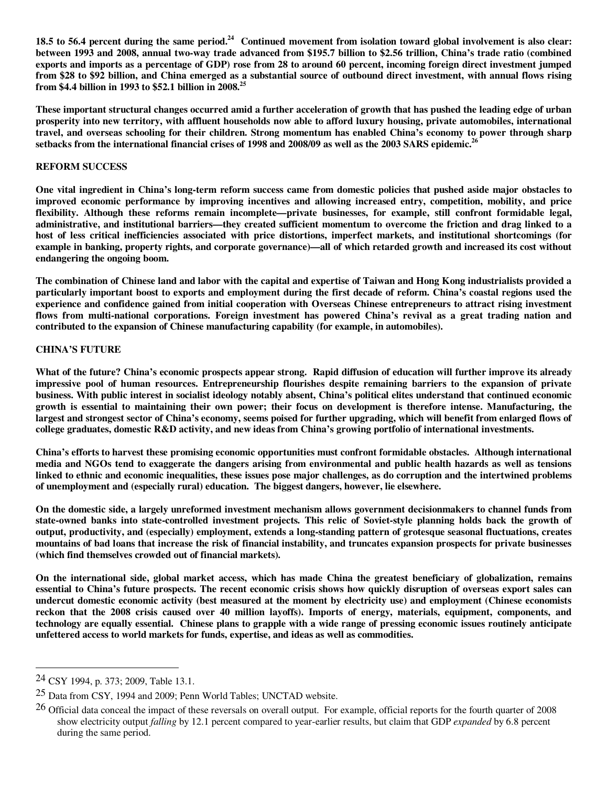**18.5 to 56.4 percent during the same period.<sup>24</sup> Continued movement from isolation toward global involvement is also clear: between 1993 and 2008, annual two-way trade advanced from \$195.7 billion to \$2.56 trillion, China's trade ratio (combined exports and imports as a percentage of GDP) rose from 28 to around 60 percent, incoming foreign direct investment jumped from \$28 to \$92 billion, and China emerged as a substantial source of outbound direct investment, with annual flows rising from \$4.4 billion in 1993 to \$52.1 billion in 2008.<sup>25</sup>** 

**These important structural changes occurred amid a further acceleration of growth that has pushed the leading edge of urban prosperity into new territory, with affluent households now able to afford luxury housing, private automobiles, international travel, and overseas schooling for their children. Strong momentum has enabled China's economy to power through sharp setbacks from the international financial crises of 1998 and 2008/09 as well as the 2003 SARS epidemic.<sup>26</sup>**

#### **REFORM SUCCESS**

**One vital ingredient in China's long-term reform success came from domestic policies that pushed aside major obstacles to improved economic performance by improving incentives and allowing increased entry, competition, mobility, and price flexibility. Although these reforms remain incomplete—private businesses, for example, still confront formidable legal, administrative, and institutional barriers—they created sufficient momentum to overcome the friction and drag linked to a host of less critical inefficiencies associated with price distortions, imperfect markets, and institutional shortcomings (for example in banking, property rights, and corporate governance)—all of which retarded growth and increased its cost without endangering the ongoing boom.** 

**The combination of Chinese land and labor with the capital and expertise of Taiwan and Hong Kong industrialists provided a particularly important boost to exports and employment during the first decade of reform. China's coastal regions used the experience and confidence gained from initial cooperation with Overseas Chinese entrepreneurs to attract rising investment flows from multi-national corporations. Foreign investment has powered China's revival as a great trading nation and contributed to the expansion of Chinese manufacturing capability (for example, in automobiles).** 

#### **CHINA'S FUTURE**

**What of the future? China's economic prospects appear strong. Rapid diffusion of education will further improve its already impressive pool of human resources. Entrepreneurship flourishes despite remaining barriers to the expansion of private business. With public interest in socialist ideology notably absent, China's political elites understand that continued economic growth is essential to maintaining their own power; their focus on development is therefore intense. Manufacturing, the largest and strongest sector of China's economy, seems poised for further upgrading, which will benefit from enlarged flows of college graduates, domestic R&D activity, and new ideas from China's growing portfolio of international investments.** 

**China's efforts to harvest these promising economic opportunities must confront formidable obstacles. Although international media and NGOs tend to exaggerate the dangers arising from environmental and public health hazards as well as tensions linked to ethnic and economic inequalities, these issues pose major challenges, as do corruption and the intertwined problems of unemployment and (especially rural) education. The biggest dangers, however, lie elsewhere.** 

**On the domestic side, a largely unreformed investment mechanism allows government decisionmakers to channel funds from state-owned banks into state-controlled investment projects. This relic of Soviet-style planning holds back the growth of output, productivity, and (especially) employment, extends a long-standing pattern of grotesque seasonal fluctuations, creates mountains of bad loans that increase the risk of financial instability, and truncates expansion prospects for private businesses (which find themselves crowded out of financial markets).** 

**On the international side, global market access, which has made China the greatest beneficiary of globalization, remains essential to China's future prospects. The recent economic crisis shows how quickly disruption of overseas export sales can undercut domestic economic activity (best measured at the moment by electricity use) and employment (Chinese economists reckon that the 2008 crisis caused over 40 million layoffs). Imports of energy, materials, equipment, components, and technology are equally essential. Chinese plans to grapple with a wide range of pressing economic issues routinely anticipate unfettered access to world markets for funds, expertise, and ideas as well as commodities.** 

-

<sup>24</sup> CSY 1994, p. 373; 2009, Table 13.1.

<sup>25</sup> Data from CSY, 1994 and 2009; Penn World Tables; UNCTAD website.

<sup>&</sup>lt;sup>26</sup> Official data conceal the impact of these reversals on overall output. For example, official reports for the fourth quarter of 2008 show electricity output *falling* by 12.1 percent compared to year-earlier results, but claim that GDP *expanded* by 6.8 percent during the same period.